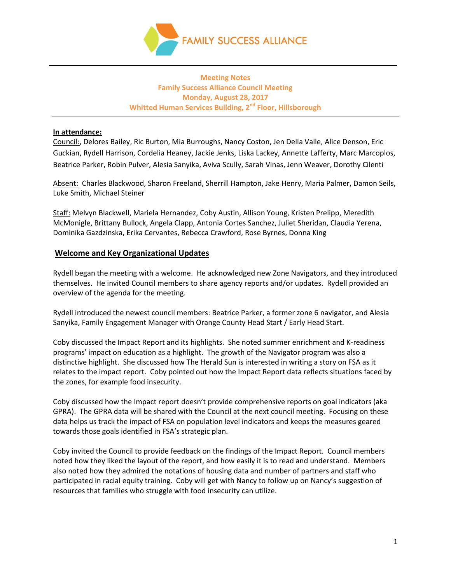

# **Meeting Notes Family Success Alliance Council Meeting Monday, August 28, 2017 Whitted Human Services Building, 2nd Floor, Hillsborough**

## **In attendance:**

Council:, Delores Bailey, Ric Burton, Mia Burroughs, Nancy Coston, Jen Della Valle, Alice Denson, Eric Guckian, Rydell Harrison, Cordelia Heaney, Jackie Jenks, Liska Lackey, Annette Lafferty, Marc Marcoplos, Beatrice Parker, Robin Pulver, Alesia Sanyika, Aviva Scully, Sarah Vinas, Jenn Weaver, Dorothy Cilenti

Absent: Charles Blackwood, Sharon Freeland, Sherrill Hampton, Jake Henry, Maria Palmer, Damon Seils, Luke Smith, Michael Steiner

Staff: Melvyn Blackwell, Mariela Hernandez, Coby Austin, Allison Young, Kristen Prelipp, Meredith McMonigle, Brittany Bullock, Angela Clapp, Antonia Cortes Sanchez, Juliet Sheridan, Claudia Yerena, Dominika Gazdzinska, Erika Cervantes, Rebecca Crawford, Rose Byrnes, Donna King

# **Welcome and Key Organizational Updates**

Rydell began the meeting with a welcome. He acknowledged new Zone Navigators, and they introduced themselves. He invited Council members to share agency reports and/or updates. Rydell provided an overview of the agenda for the meeting.

Rydell introduced the newest council members: Beatrice Parker, a former zone 6 navigator, and Alesia Sanyika, Family Engagement Manager with Orange County Head Start / Early Head Start.

Coby discussed the Impact Report and its highlights. She noted summer enrichment and K-readiness programs' impact on education as a highlight. The growth of the Navigator program was also a distinctive highlight. She discussed how The Herald Sun is interested in writing a story on FSA as it relates to the impact report. Coby pointed out how the Impact Report data reflects situations faced by the zones, for example food insecurity.

Coby discussed how the Impact report doesn't provide comprehensive reports on goal indicators (aka GPRA). The GPRA data will be shared with the Council at the next council meeting. Focusing on these data helps us track the impact of FSA on population level indicators and keeps the measures geared towards those goals identified in FSA's strategic plan.

Coby invited the Council to provide feedback on the findings of the Impact Report. Council members noted how they liked the layout of the report, and how easily it is to read and understand. Members also noted how they admired the notations of housing data and number of partners and staff who participated in racial equity training. Coby will get with Nancy to follow up on Nancy's suggestion of resources that families who struggle with food insecurity can utilize.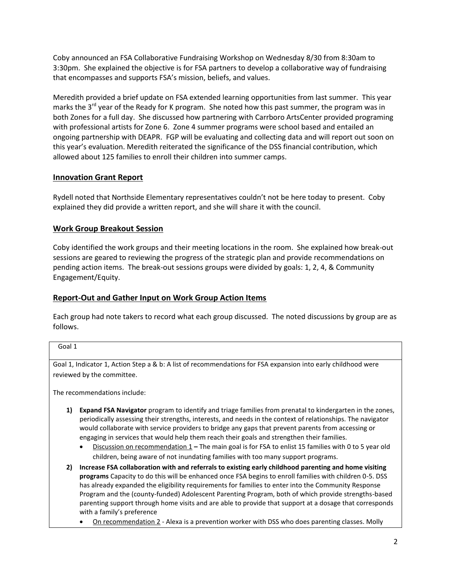Coby announced an FSA Collaborative Fundraising Workshop on Wednesday 8/30 from 8:30am to 3:30pm. She explained the objective is for FSA partners to develop a collaborative way of fundraising that encompasses and supports FSA's mission, beliefs, and values.

Meredith provided a brief update on FSA extended learning opportunities from last summer. This year marks the 3<sup>rd</sup> year of the Ready for K program. She noted how this past summer, the program was in both Zones for a full day. She discussed how partnering with Carrboro ArtsCenter provided programing with professional artists for Zone 6. Zone 4 summer programs were school based and entailed an ongoing partnership with DEAPR. FGP will be evaluating and collecting data and will report out soon on this year's evaluation. Meredith reiterated the significance of the DSS financial contribution, which allowed about 125 families to enroll their children into summer camps.

# **Innovation Grant Report**

Rydell noted that Northside Elementary representatives couldn't not be here today to present. Coby explained they did provide a written report, and she will share it with the council.

# **Work Group Breakout Session**

Coby identified the work groups and their meeting locations in the room. She explained how break-out sessions are geared to reviewing the progress of the strategic plan and provide recommendations on pending action items. The break-out sessions groups were divided by goals: 1, 2, 4, & Community Engagement/Equity.

# **Report-Out and Gather Input on Work Group Action Items**

Each group had note takers to record what each group discussed. The noted discussions by group are as follows.

## Goal 1

Goal 1, Indicator 1, Action Step a & b: A list of recommendations for FSA expansion into early childhood were reviewed by the committee.

The recommendations include:

- **1) Expand FSA Navigator** program to identify and triage families from prenatal to kindergarten in the zones, periodically assessing their strengths, interests, and needs in the context of relationships. The navigator would collaborate with service providers to bridge any gaps that prevent parents from accessing or engaging in services that would help them reach their goals and strengthen their families.
	- Discussion on recommendation 1 **–** The main goal is for FSA to enlist 15 families with 0 to 5 year old children, being aware of not inundating families with too many support programs.
- **2) Increase FSA collaboration with and referrals to existing early childhood parenting and home visiting programs** Capacity to do this will be enhanced once FSA begins to enroll families with children 0-5. DSS has already expanded the eligibility requirements for families to enter into the Community Response Program and the (county-funded) Adolescent Parenting Program, both of which provide strengths-based parenting support through home visits and are able to provide that support at a dosage that corresponds with a family's preference
	- On recommendation 2 Alexa is a prevention worker with DSS who does parenting classes. Molly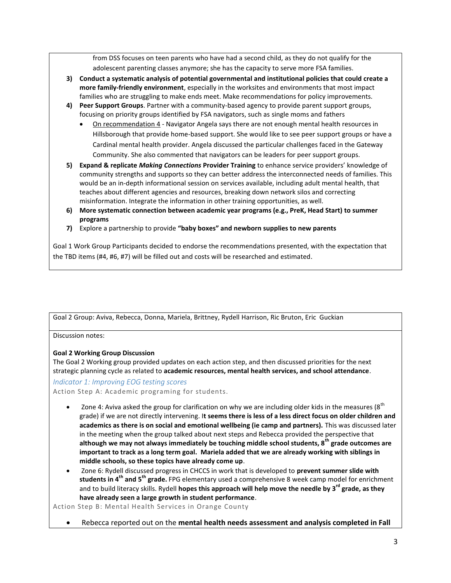from DSS focuses on teen parents who have had a second child, as they do not qualify for the adolescent parenting classes anymore; she has the capacity to serve more FSA families.

- **3) Conduct a systematic analysis of potential governmental and institutional policies that could create a more family-friendly environment**, especially in the worksites and environments that most impact families who are struggling to make ends meet. Make recommendations for policy improvements.
- **4) Peer Support Groups**. Partner with a community-based agency to provide parent support groups, focusing on priority groups identified by FSA navigators, such as single moms and fathers
	- On recommendation 4 Navigator Angela says there are not enough mental health resources in Hillsborough that provide home-based support. She would like to see peer support groups or have a Cardinal mental health provider. Angela discussed the particular challenges faced in the Gateway Community. She also commented that navigators can be leaders for peer support groups.
- **5) Expand & replicate** *Making Connections* **Provider Training** to enhance service providers' knowledge of community strengths and supports so they can better address the interconnected needs of families. This would be an in-depth informational session on services available, including adult mental health, that teaches about different agencies and resources, breaking down network silos and correcting misinformation. Integrate the information in other training opportunities, as well.
- **6) More systematic connection between academic year programs (e.g., PreK, Head Start) to summer programs**
- **7)** Explore a partnership to provide **"baby boxes" and newborn supplies to new parents**

Goal 1 Work Group Participants decided to endorse the recommendations presented, with the expectation that the TBD items (#4, #6, #7) will be filled out and costs will be researched and estimated.

Goal 2 Group: Aviva, Rebecca, Donna, Mariela, Brittney, Rydell Harrison, Ric Bruton, Eric Guckian

#### Discussion notes:

#### **Goal 2 Working Group Discussion**

The Goal 2 Working group provided updates on each action step, and then discussed priorities for the next strategic planning cycle as related to **academic resources, mental health services, and school attendance**.

#### *Indicator 1: Improving EOG testing scores*

Action Step A: Academic programing for students.

- Zone 4: Aviva asked the group for clarification on why we are including older kids in the measures ( $8<sup>th</sup>$ grade) if we are not directly intervening. I**t seems there is less of a less direct focus on older children and academics as there is on social and emotional wellbeing (ie camp and partners).** This was discussed later in the meeting when the group talked about next steps and Rebecca provided the perspective that **although we may not always immediately be touching middle school students, 8th grade outcomes are important to track as a long term goal. Mariela added that we are already working with siblings in middle schools, so these topics have already come up**.
- Zone 6: Rydell discussed progress in CHCCS in work that is developed to **prevent summer slide with students in 4th and 5th grade.** FPG elementary used a comprehensive 8 week camp model for enrichment and to build literacy skills. Rydell **hopes this approach will help move the needle by 3rd grade, as they have already seen a large growth in student performance**.

Action Step B: Mental Health Services in Orange County

Rebecca reported out on the **mental health needs assessment and analysis completed in Fall**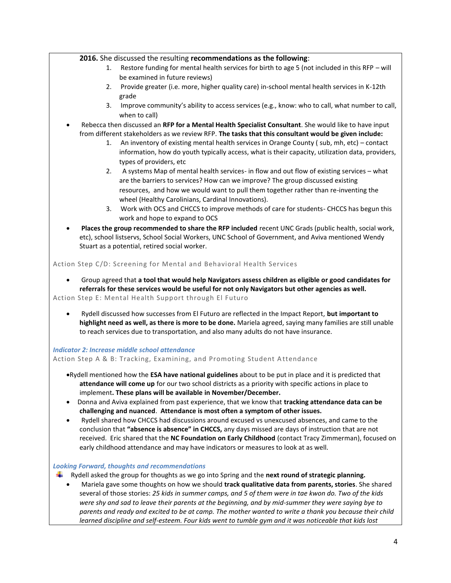## **2016.** She discussed the resulting **recommendations as the following**:

- 1. Restore funding for mental health services for birth to age 5 (not included in this RFP will be examined in future reviews)
- 2. Provide greater (i.e. more, higher quality care) in-school mental health services in K-12th grade
- 3. Improve community's ability to access services (e.g., know: who to call, what number to call, when to call)
- Rebecca then discussed an **RFP for a Mental Health Specialist Consultant**. She would like to have input from different stakeholders as we review RFP. **The tasks that this consultant would be given include:**
	- 1. An inventory of existing mental health services in Orange County ( sub, mh, etc) contact information, how do youth typically access, what is their capacity, utilization data, providers, types of providers, etc
	- 2. A systems Map of mental health services- in flow and out flow of existing services what are the barriers to services? How can we improve? The group discussed existing resources, and how we would want to pull them together rather than re-inventing the wheel (Healthy Carolinians, Cardinal Innovations).
	- 3. Work with OCS and CHCCS to improve methods of care for students- CHCCS has begun this work and hope to expand to OCS
- **Places the group recommended to share the RFP included** recent UNC Grads (public health, social work, etc), school listservs, School Social Workers, UNC School of Government, and Aviva mentioned Wendy Stuart as a potential, retired social worker.

## Action Step C/D: Screening for Mental and Behavioral Health Services

 Group agreed that **a tool that would help Navigators assess children as eligible or good candidates for referrals for these services would be useful for not only Navigators but other agencies as well.**

Action Step E: Mental Health Support through El Futuro

 Rydell discussed how successes from El Futuro are reflected in the Impact Report, **but important to highlight need as well, as there is more to be done.** Mariela agreed, saying many families are still unable to reach services due to transportation, and also many adults do not have insurance.

## *Indicator 2: Increase middle school attendance*

Action Step A & B: Tracking, Examining, and Promoting Student A ttendance

- Rydell mentioned how the **ESA have national guidelines** about to be put in place and it is predicted that **attendance will come up** for our two school districts as a priority with specific actions in place to implement**. These plans will be available in November/December.**
- Donna and Aviva explained from past experience, that we know that **tracking attendance data can be challenging and nuanced**. **Attendance is most often a symptom of other issues.**
- Rydell shared how CHCCS had discussions around excused vs unexcused absences, and came to the conclusion that **"absence is absence" in CHCCS,** any days missed are days of instruction that are not received. Eric shared that the **NC Foundation on Early Childhood** (contact Tracy Zimmerman), focused on early childhood attendance and may have indicators or measures to look at as well.

## *Looking Forward, thoughts and recommendations*

- Rydell asked the group for thoughts as we go into Spring and the **next round of strategic planning.**
	- Mariela gave some thoughts on how we should **track qualitative data from parents, stories**. She shared several of those stories: *25 kids in summer camps, and 5 of them were in tae kwon do. Two of the kids were shy and sad to leave their parents at the beginning, and by mid-summer they were saying bye to parents and ready and excited to be at camp. The mother wanted to write a thank you because their child learned discipline and self-esteem. Four kids went to tumble gym and it was noticeable that kids lost*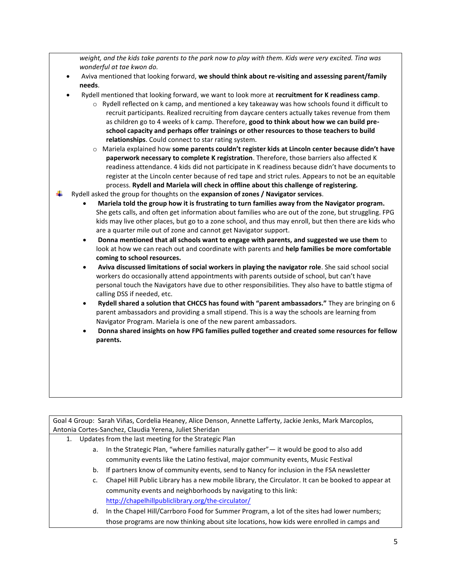*weight, and the kids take parents to the park now to play with them. Kids were very excited. Tina was wonderful at tae kwon do.*

- Aviva mentioned that looking forward, **we should think about re-visiting and assessing parent/family needs**.
- Rydell mentioned that looking forward, we want to look more at **recruitment for K readiness camp**.
	- $\circ$  Rydell reflected on k camp, and mentioned a key takeaway was how schools found it difficult to recruit participants. Realized recruiting from daycare centers actually takes revenue from them as children go to 4 weeks of k camp. Therefore, **good to think about how we can build preschool capacity and perhaps offer trainings or other resources to those teachers to build relationships**. Could connect to star rating system.
	- o Mariela explained how **some parents couldn't register kids at Lincoln center because didn't have paperwork necessary to complete K registration**. Therefore, those barriers also affected K readiness attendance. 4 kids did not participate in K readiness because didn't have documents to register at the Lincoln center because of red tape and strict rules. Appears to not be an equitable process. **Rydell and Mariela will check in offline about this challenge of registering.**
- Rydell asked the group for thoughts on the **expansion of zones / Navigator services**.
	- **Mariela told the group how it is frustrating to turn families away from the Navigator program.** She gets calls, and often get information about families who are out of the zone, but struggling. FPG kids may live other places, but go to a zone school, and thus may enroll, but then there are kids who are a quarter mile out of zone and cannot get Navigator support.
	- **Donna mentioned that all schools want to engage with parents, and suggested we use them** to look at how we can reach out and coordinate with parents and **help families be more comfortable coming to school resources.**
	- **Aviva discussed limitations of social workers in playing the navigator role**. She said school social workers do occasionally attend appointments with parents outside of school, but can't have personal touch the Navigators have due to other responsibilities. They also have to battle stigma of calling DSS if needed, etc.
	- **Rydell shared a solution that CHCCS has found with "parent ambassadors."** They are bringing on 6 parent ambassadors and providing a small stipend. This is a way the schools are learning from Navigator Program. Mariela is one of the new parent ambassadors.
	- **Donna shared insights on how FPG families pulled together and created some resources for fellow parents.**

Goal 4 Group: Sarah Viñas, Cordelia Heaney, Alice Denson, Annette Lafferty, Jackie Jenks, Mark Marcoplos, Antonia Cortes-Sanchez, Claudia Yerena, Juliet Sheridan

- 1. Updates from the last meeting for the Strategic Plan
	- a. In the Strategic Plan, "where families naturally gather"— it would be good to also add community events like the Latino festival, major community events, Music Festival
	- b. If partners know of community events, send to Nancy for inclusion in the FSA newsletter
	- c. Chapel Hill Public Library has a new mobile library, the Circulator. It can be booked to appear at community events and neighborhoods by navigating to this link: <http://chapelhillpubliclibrary.org/the-circulator/>
	- d. In the Chapel Hill/Carrboro Food for Summer Program, a lot of the sites had lower numbers; those programs are now thinking about site locations, how kids were enrolled in camps and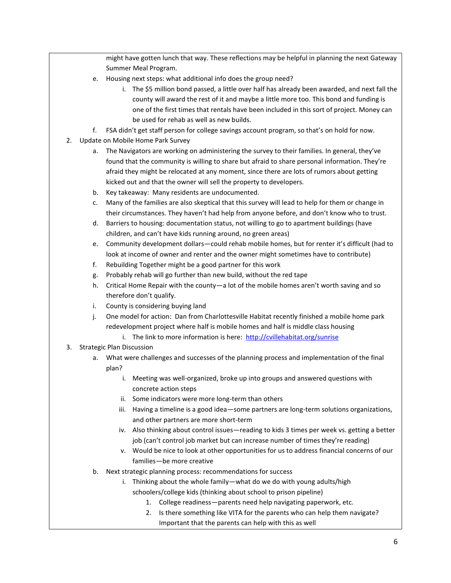might have gotten lunch that way. These reflections may be helpful in planning the next Gateway Summer Meal Program.

- e. Housing next steps: what additional info does the group need?
	- i. The \$5 million bond passed, a little over half has already been awarded, and next fall the county will award the rest of it and maybe a little more too. This bond and funding is one of the first times that rentals have been included in this sort of project. Money can be used for rehab as well as new builds.
- f. FSA didn't get staff person for college savings account program, so that's on hold for now.
- 2. Update on Mobile Home Park Survey
	- a. The Navigators are working on administering the survey to their families. In general, they've found that the community is willing to share but afraid to share personal information. They're afraid they might be relocated at any moment, since there are lots of rumors about getting kicked out and that the owner will sell the property to developers.
	- b. Key takeaway: Many residents are undocumented.
	- c. Many of the families are also skeptical that this survey will lead to help for them or change in their circumstances. They haven't had help from anyone before, and don't know who to trust.
	- d. Barriers to housing: documentation status, not willing to go to apartment buildings (have children, and can't have kids running around, no green areas)
	- e. Community development dollars—could rehab mobile homes, but for renter it's difficult (had to look at income of owner and renter and the owner might sometimes have to contribute)
	- f. Rebuilding Together might be a good partner for this work
	- g. Probably rehab will go further than new build, without the red tape
	- h. Critical Home Repair with the county—a lot of the mobile homes aren't worth saving and so therefore don't qualify.
	- i. County is considering buying land
	- j. One model for action: Dan from Charlottesville Habitat recently finished a mobile home park redevelopment project where half is mobile homes and half is middle class housing
		- i. The link to more information is here: <http://cvillehabitat.org/sunrise>

## 3. Strategic Plan Discussion

- a. What were challenges and successes of the planning process and implementation of the final plan?
	- i. Meeting was well-organized, broke up into groups and answered questions with concrete action steps
	- ii. Some indicators were more long-term than others
	- iii. Having a timeline is a good idea—some partners are long-term solutions organizations, and other partners are more short-term
	- iv. Also thinking about control issues—reading to kids 3 times per week vs. getting a better job (can't control job market but can increase number of times they're reading)
	- v. Would be nice to look at other opportunities for us to address financial concerns of our families—be more creative
- b. Next strategic planning process: recommendations for success
	- i. Thinking about the whole family—what do we do with young adults/high schoolers/college kids (thinking about school to prison pipeline)
		- 1. College readiness—parents need help navigating paperwork, etc.
		- 2. Is there something like VITA for the parents who can help them navigate? Important that the parents can help with this as well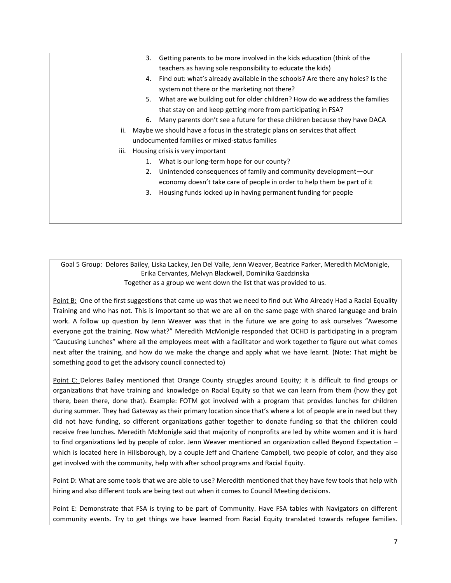- 3. Getting parents to be more involved in the kids education (think of the teachers as having sole responsibility to educate the kids)
- 4. Find out: what's already available in the schools? Are there any holes? Is the system not there or the marketing not there?
- 5. What are we building out for older children? How do we address the families that stay on and keep getting more from participating in FSA?
- 6. Many parents don't see a future for these children because they have DACA
- ii. Maybe we should have a focus in the strategic plans on services that affect undocumented families or mixed-status families
- iii. Housing crisis is very important
	- 1. What is our long-term hope for our county?
	- 2. Unintended consequences of family and community development—our economy doesn't take care of people in order to help them be part of it
	- 3. Housing funds locked up in having permanent funding for people

Goal 5 Group: Delores Bailey, Liska Lackey, Jen Del Valle, Jenn Weaver, Beatrice Parker, Meredith McMonigle, Erika Cervantes, Melvyn Blackwell, Dominika Gazdzinska

Together as a group we went down the list that was provided to us.

Point B: One of the first suggestions that came up was that we need to find out Who Already Had a Racial Equality Training and who has not. This is important so that we are all on the same page with shared language and brain work. A follow up question by Jenn Weaver was that in the future we are going to ask ourselves "Awesome everyone got the training. Now what?" Meredith McMonigle responded that OCHD is participating in a program "Caucusing Lunches" where all the employees meet with a facilitator and work together to figure out what comes next after the training, and how do we make the change and apply what we have learnt. (Note: That might be something good to get the advisory council connected to)

Point C: Delores Bailey mentioned that Orange County struggles around Equity; it is difficult to find groups or organizations that have training and knowledge on Racial Equity so that we can learn from them (how they got there, been there, done that). Example: FOTM got involved with a program that provides lunches for children during summer. They had Gateway as their primary location since that's where a lot of people are in need but they did not have funding, so different organizations gather together to donate funding so that the children could receive free lunches. Meredith McMonigle said that majority of nonprofits are led by white women and it is hard to find organizations led by people of color. Jenn Weaver mentioned an organization called Beyond Expectation – which is located here in Hillsborough, by a couple Jeff and Charlene Campbell, two people of color, and they also get involved with the community, help with after school programs and Racial Equity.

Point D: What are some tools that we are able to use? Meredith mentioned that they have few tools that help with hiring and also different tools are being test out when it comes to Council Meeting decisions.

Point E: Demonstrate that FSA is trying to be part of Community. Have FSA tables with Navigators on different community events. Try to get things we have learned from Racial Equity translated towards refugee families.